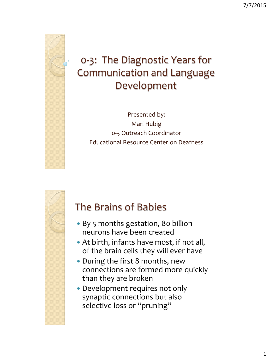

## 0-3: The Diagnostic Years for Communication and Language Development

Presented by: Mari Hubig 0-3 Outreach Coordinator Educational Resource Center on Deafness



- By 5 months gestation, 80 billion neurons have been created
- At birth, infants have most, if not all, of the brain cells they will ever have
- During the first 8 months, new connections are formed more quickly than they are broken
- Development requires not only synaptic connections but also selective loss or "pruning"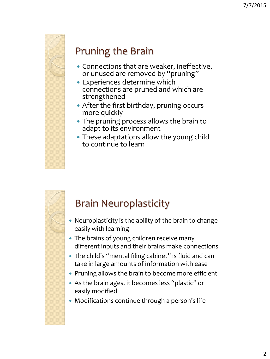

# Pruning the Brain

- Connections that are weaker, ineffective, or unused are removed by "pruning"
- Experiences determine which connections are pruned and which are strengthened
- After the first birthday, pruning occurs more quickly
- The pruning process allows the brain to adapt to its environment
- These adaptations allow the young child to continue to learn



- Neuroplasticity is the ability of the brain to change easily with learning
- The brains of young children receive many different inputs and their brains make connections
- The child's "mental filing cabinet" is fluid and can take in large amounts of information with ease
- Pruning allows the brain to become more efficient
- As the brain ages, it becomes less "plastic" or easily modified
- Modifications continue through a person's life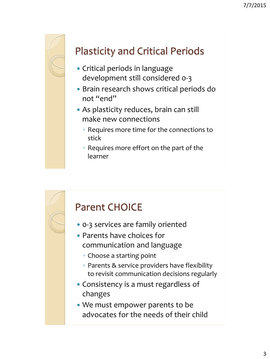

# Plasticity and Critical Periods

- Critical periods in language development still considered 0-3
- Brain research shows critical periods do not "end"
- As plasticity reduces, brain can still make new connections
	- Requires more time for the connections to stick
	- Requires more effort on the part of the learner



- 0-3 services are family oriented
- Parents have choices for communication and language
	- Choose a starting point
	- Parents & service providers have flexibility to revisit communication decisions regularly
- Consistency is a must regardless of changes
- We must empower parents to be advocates for the needs of their child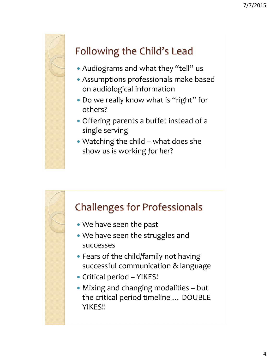

# Following the Child's Lead

- Audiograms and what they "tell" us
- Assumptions professionals make based on audiological information
- Do we really know what is "right" for others?
- Offering parents a buffet instead of a single serving
- Watching the child what does she show us is working *for her*?



- We have seen the past
- We have seen the struggles and successes
- Fears of the child/family not having successful communication & language
- Critical period YIKES!
- Mixing and changing modalities but the critical period timeline … DOUBLE YIKES!!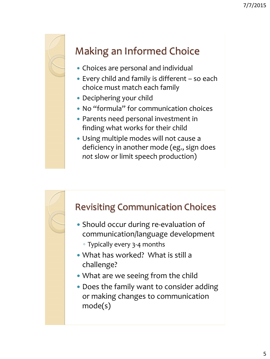

# Making an Informed Choice

- Choices are personal and individual
- Every child and family is different so each choice must match each family
- Deciphering your child
- No "formula" for communication choices
- Parents need personal investment in finding what works for their child
- Using multiple modes will not cause a deficiency in another mode (eg., sign does *not* slow or limit speech production)



- Should occur during re-evaluation of communication/language development
	- Typically every 3-4 months
- What has worked? What is still a challenge?
- What are we seeing from the child
- Does the family want to consider adding or making changes to communication mode(s)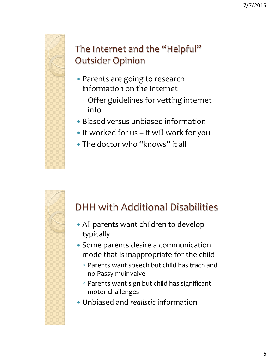### The Internet and the "Helpful" Outsider Opinion

- Parents are going to research information on the internet
	- Offer guidelines for vetting internet info
- Biased versus unbiased information
- It worked for us it will work for you
- The doctor who "knows" it all

### DHH with Additional Disabilities

- All parents want children to develop typically
- Some parents desire a communication mode that is inappropriate for the child
	- Parents want speech but child has trach and no Passy-muir valve
	- Parents want sign but child has significant motor challenges
- Unbiased and *realistic* information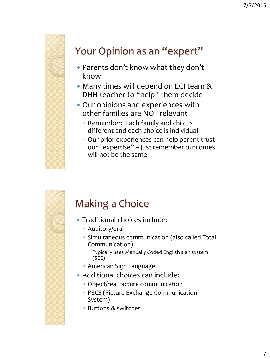

# Your Opinion as an "expert"

- Parents don't know what they don't know
- Many times will depend on ECI team & DHH teacher to "help" them decide
- Our opinions and experiences with other families are NOT relevant
	- Remember: Each family and child is different and each choice is individual
	- Our prior experiences can help parent trust our "expertise" – just remember outcomes will not be the same



### 7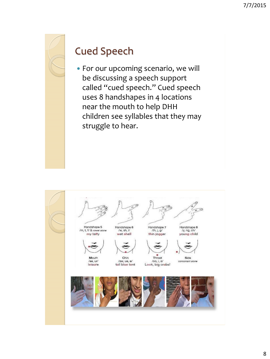

## Cued Speech

 For our upcoming scenario, we will be discussing a speech support called "cued speech." Cued speech uses 8 handshapes in 4 locations near the mouth to help DHH children see syllables that they may struggle to hear.

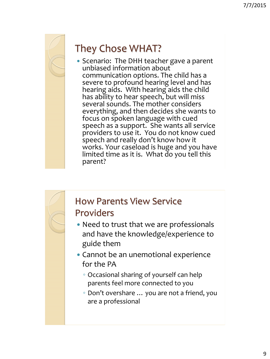

### They Chose WHAT?

• Scenario: The DHH teacher gave a parent unbiased information about communication options. The child has a severe to profound hearing level and has hearing aids. With hearing aids the child has ability to hear speech, but will miss several sounds. The mother considers everything, and then decides she wants to focus on spoken language with cued speech as a support. She wants all service providers to use it. You do not know cued speech and really don't know how it works. Your caseload is huge and you have limited time as it is. What do you tell this parent?

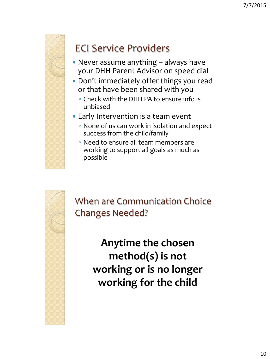

# ECI Service Providers

- Never assume anything always have your DHH Parent Advisor on speed dial
- Don't immediately offer things you read or that have been shared with you
	- Check with the DHH PA to ensure info is unbiased
- Early Intervention is a team event
	- None of us can work in isolation and expect success from the child/family
	- Need to ensure all team members are working to support all goals as much as possible



**Anytime the chosen method(s) is not working or is no longer working for the child**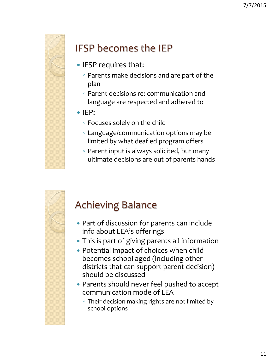

# IFSP becomes the IEP

- IFSP requires that:
	- Parents make decisions and are part of the plan
	- Parent decisions re: communication and language are respected and adhered to
- $\bullet$  IFP:
	- Focuses solely on the child
	- Language/communication options may be limited by what deaf ed program offers
	- Parent input is always solicited, but many ultimate decisions are out of parents hands



- Part of discussion for parents can include info about LEA's offerings
- This is part of giving parents all information
- Potential impact of choices when child becomes school aged (including other districts that can support parent decision) should be discussed
- Parents should never feel pushed to accept communication mode of LEA
	- Their decision making rights are not limited by school options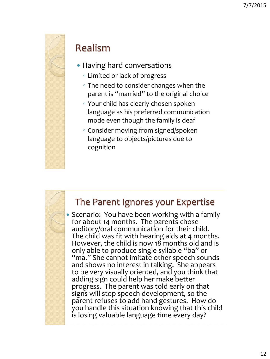

### Realism

- Having hard conversations
	- Limited or lack of progress
	- The need to consider changes when the parent is "married" to the original choice
	- Your child has clearly chosen spoken language as his preferred communication mode even though the family is deaf
	- Consider moving from signed/spoken language to objects/pictures due to cognition

### The Parent Ignores your Expertise

• Scenario: You have been working with a family for about 14 months. The parents chose auditory/oral communication for their child. The child was fit with hearing aids at 4 months. However, the child is now 18 months old and is only able to produce single syllable "ba" or "ma." She cannot imitate other speech sounds and shows no interest in talking. She appears to be very visually oriented, and you think that adding sign could help her make better progress. The parent was told early on that signs will stop speech development, so the parent refuses to add hand gestures. How do you handle this situation knowing that this child is losing valuable language time every day?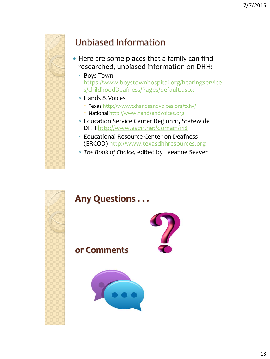

### Unbiased Information

- Here are some places that a family can find researched, unbiased information on DHH:
	- Boys Town [https://www.boystownhospital.org/hearingservice](https://www.boystownhospital.org/hearingservices/childhoodDeafness/Pages/default.aspx) [s/childhoodDeafness/Pages/default.aspx](https://www.boystownhospital.org/hearingservices/childhoodDeafness/Pages/default.aspx)
	- Hands & Voices
		- Texas <http://www.txhandsandvoices.org/txhv/>
		- National <http://www.handsandvoices.org>
	- Education Service Center Region 11, Statewide DHH <http://www.esc11.net/domain/118>
	- Educational Resource Center on Deafness (ERCOD) <http://www.texasdhhresources.org>
	- *The Book of Choice*, edited by Leeanne Seaver